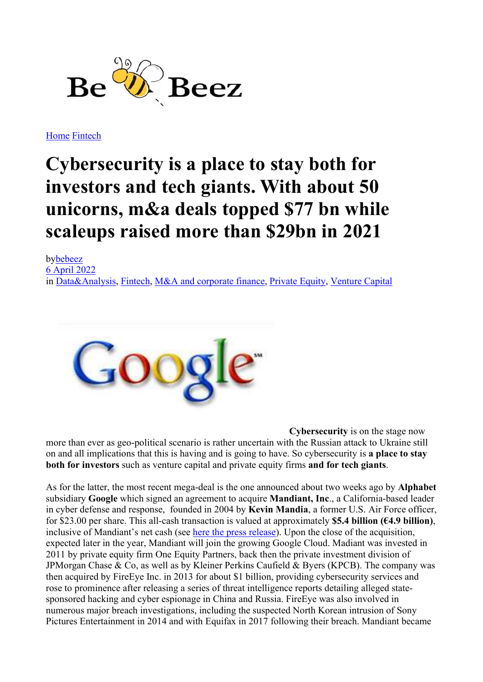

Home Fintech

## Cybersecurity is a place to stay both for investors and tech giants. With about 50 unicorns, m&a deals topped \$77 bn while scaleups raised more than \$29bn in 2021

bybebeez 6 April 2022 in Data&Analysis, Fintech, M&A and corporate finance, Private Equity, Venture Capital



Cybersecurity is on the stage now more than ever as geo-political scenario is rather uncertain with the Russian attack to Ukraine still on and all implications that this is having and is going to have. So cybersecurity is a place to stay both for investors such as venture capital and private equity firms and for tech giants.

As for the latter, the most recent mega-deal is the one announced about two weeks ago by Alphabet subsidiary Google which signed an agreement to acquire Mandiant, Inc., a California-based leader in cyber defense and response, founded in 2004 by Kevin Mandia, a former U.S. Air Force officer, for \$23.00 per share. This all-cash transaction is valued at approximately **\$5.4 billion (€4.9 billion)**, inclusive of Mandiant's net cash (see here the press release). Upon the close of the acquisition, expected later in the year, Mandiant will join the growing Google Cloud. Madiant was invested in 2011 by private equity firm One Equity Partners, back then the private investment division of JPMorgan Chase & Co, as well as by Kleiner Perkins Caufield & Byers (KPCB). The company was then acquired by FireEye Inc. in 2013 for about \$1 billion, providing cybersecurity services and rose to prominence after releasing a series of threat intelligence reports detailing alleged statesponsored hacking and cyber espionage in China and Russia. FireEye was also involved in numerous major breach investigations, including the suspected North Korean intrusion of Sony Pictures Entertainment in 2014 and with Equifax in 2017 following their breach. Mandiant became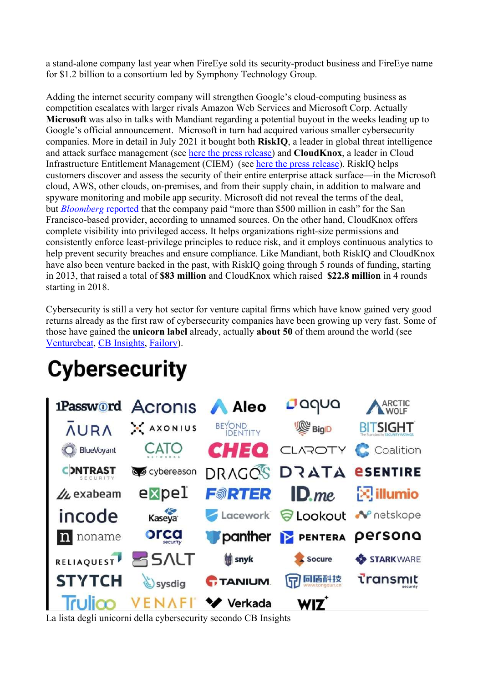a stand-alone company last year when FireEye sold its security-product business and FireEye name for \$1.2 billion to a consortium led by Symphony Technology Group.

Adding the internet security company will strengthen Google's cloud-computing business as competition escalates with larger rivals Amazon Web Services and Microsoft Corp. Actually Microsoft was also in talks with Mandiant regarding a potential buyout in the weeks leading up to Google's official announcement. Microsoft in turn had acquired various smaller cybersecurity companies. More in detail in July 2021 it bought both RiskIQ, a leader in global threat intelligence and attack surface management (see here the press release) and CloudKnox, a leader in Cloud Infrastructure Entitlement Management (CIEM) (see here the press release). RiskIQ helps customers discover and assess the security of their entire enterprise attack surface—in the Microsoft cloud, AWS, other clouds, on-premises, and from their supply chain, in addition to malware and spyware monitoring and mobile app security. Microsoft did not reveal the terms of the deal, but *Bloomberg* reported that the company paid "more than \$500 million in cash" for the San Francisco-based provider, according to unnamed sources. On the other hand, CloudKnox offers complete visibility into privileged access. It helps organizations right-size permissions and consistently enforce least-privilege principles to reduce risk, and it employs continuous analytics to help prevent security breaches and ensure compliance. Like Mandiant, both RiskIQ and CloudKnox have also been venture backed in the past, with RiskIQ going through 5 rounds of funding, starting in 2013, that raised a total of \$83 million and CloudKnox which raised \$22.8 million in 4 rounds starting in 2018.

Cybersecurity is still a very hot sector for venture capital firms which have know gained very good returns already as the first raw of cybersecurity companies have been growing up very fast. Some of those have gained the unicorn label already, actually about 50 of them around the world (see Venturebeat, CB Insights, Failory).

## **Cybersecurity**



La lista degli unicorni della cybersecurity secondo CB Insights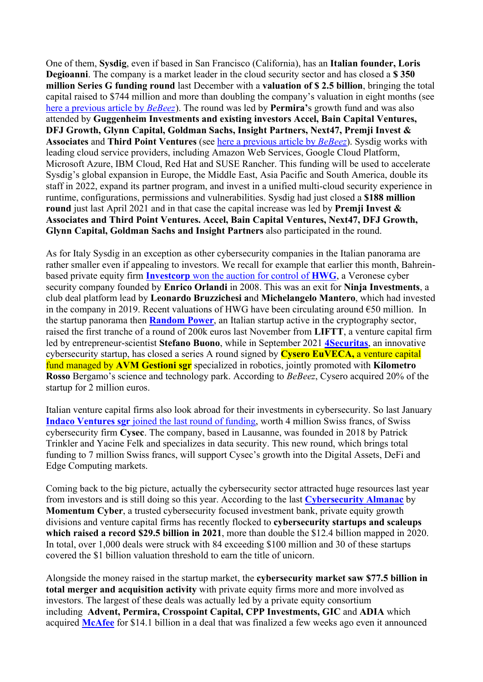One of them, Sysdig, even if based in San Francisco (California), has an Italian founder, Loris Degioanni. The company is a market leader in the cloud security sector and has closed a \$350 million Series G funding round last December with a valuation of \$2.5 billion, bringing the total capital raised to \$744 million and more than doubling the company's valuation in eight months (see here a previous article by *BeBeez*). The round was led by **Permira's** growth fund and was also attended by Guggenheim Investments and existing investors Accel, Bain Capital Ventures, DFJ Growth, Glynn Capital, Goldman Sachs, Insight Partners, Next47, Premji Invest & Associates and Third Point Ventures (see here a previous article by BeBeez). Sysdig works with leading cloud service providers, including Amazon Web Services, Google Cloud Platform, Microsoft Azure, IBM Cloud, Red Hat and SUSE Rancher. This funding will be used to accelerate Sysdig's global expansion in Europe, the Middle East, Asia Pacific and South America, double its staff in 2022, expand its partner program, and invest in a unified multi-cloud security experience in runtime, configurations, permissions and vulnerabilities. Sysdig had just closed a \$188 million round just last April 2021 and in that case the capital increase was led by Premji Invest & Associates and Third Point Ventures. Accel, Bain Capital Ventures, Next47, DFJ Growth, Glynn Capital, Goldman Sachs and Insight Partners also participated in the round.

As for Italy Sysdig in an exception as other cybersecurity companies in the Italian panorama are rather smaller even if appealing to investors. We recall for example that earlier this month, Bahreinbased private equity firm Investcorp won the auction for control of HWG, a Veronese cyber security company founded by Enrico Orlandi in 2008. This was an exit for Ninja Investments, a club deal platform lead by Leonardo Bruzzichesi and Michelangelo Mantero, which had invested in the company in 2019. Recent valuations of HWG have been circulating around  $\epsilon$ 50 million. In the startup panorama then **Random Power**, an Italian startup active in the cryptography sector, raised the first tranche of a round of 200k euros last November from LIFTT, a venture capital firm led by entrepreneur-scientist Stefano Buono, while in September 2021 4 Securitas, an innovative cybersecurity startup, has closed a series A round signed by **Cysero EuVECA**, a venture capital fund managed by AVM Gestioni ser specialized in robotics, jointly promoted with Kilometro Rosso Bergamo's science and technology park. According to BeBeez, Cysero acquired 20% of the startup for 2 million euros.

Italian venture capital firms also look abroad for their investments in cybersecurity. So last January Indaco Ventures sgr joined the last round of funding, worth 4 million Swiss francs, of Swiss cybersecurity firm Cysec. The company, based in Lausanne, was founded in 2018 by Patrick Trinkler and Yacine Felk and specializes in data security. This new round, which brings total funding to 7 million Swiss francs, will support Cysec's growth into the Digital Assets, DeFi and Edge Computing markets.

Coming back to the big picture, actually the cybersecurity sector attracted huge resources last year from investors and is still doing so this year. According to the last Cybersecurity Almanac by Momentum Cyber, a trusted cybersecurity focused investment bank, private equity growth divisions and venture capital firms has recently flocked to cybersecurity startups and scaleups which raised a record \$29.5 billion in 2021, more than double the \$12.4 billion mapped in 2020. In total, over 1,000 deals were struck with 84 exceeding \$100 million and 30 of these startups covered the \$1 billion valuation threshold to earn the title of unicorn.

Alongside the money raised in the startup market, the cybersecurity market saw \$77.5 billion in total merger and acquisition activity with private equity firms more and more involved as investors. The largest of these deals was actually led by a private equity consortium including Advent, Permira, Crosspoint Capital, CPP Investments, GIC and ADIA which acquired McAfee for \$14.1 billion in a deal that was finalized a few weeks ago even it announced